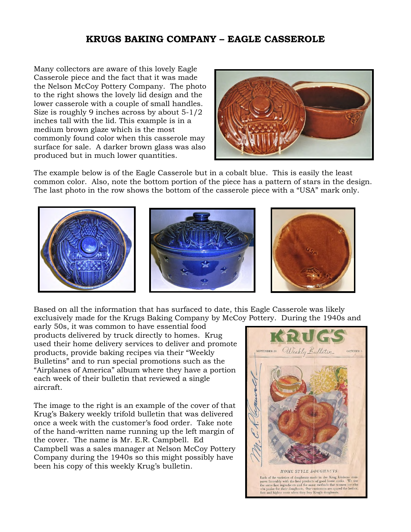## **KRUGS BAKING COMPANY – EAGLE CASSEROLE**

Many collectors are aware of this lovely Eagle Casserole piece and the fact that it was made the Nelson McCoy Pottery Company. The photo to the right shows the lovely lid design and the lower casserole with a couple of small handles. Size is roughly 9 inches across by about 5-1/2 inches tall with the lid. This example is in a medium brown glaze which is the most commonly found color when this casserole may surface for sale. A darker brown glass was also produced but in much lower quantities.



The example below is of the Eagle Casserole but in a cobalt blue. This is easily the least common color. Also, note the bottom portion of the piece has a pattern of stars in the design. The last photo in the row shows the bottom of the casserole piece with a "USA" mark only.





Based on all the information that has surfaced to date, this Eagle Casserole was likely exclusively made for the Krugs Baking Company by McCoy Pottery. During the 1940s and

early 50s, it was common to have essential food products delivered by truck directly to homes. Krug used their home delivery services to deliver and promote products, provide baking recipes via their "Weekly Bulletins" and to run special promotions such as the "Airplanes of America" album where they have a portion each week of their bulletin that reviewed a single aircraft.

The image to the right is an example of the cover of that Krug's Bakery weekly trifold bulletin that was delivered once a week with the customer's food order. Take note of the hand-written name running up the left margin of the cover. The name is Mr. E.R. Campbell. Ed Campbell was a sales manager at Nelson McCoy Pottery Company during the 1940s so this might possibly have been his copy of this weekly Krug's bulletin.